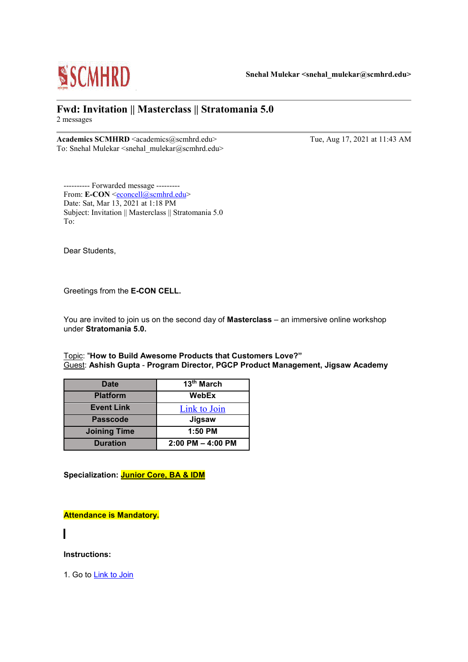

### **Fwd: Invitation || Masterclass || Stratomania 5.0** 2 messages

**Academics SCMHRD** <academics@scmhrd.edu> Tue, Aug 17, 2021 at 11:43 AM To: Snehal Mulekar <snehal\_mulekar@scmhrd.edu>

---------- Forwarded message --------- From: **E-CON** [<econcell@scmhrd.edu>](mailto:econcell@scmhrd.edu) Date: Sat, Mar 13, 2021 at 1:18 PM Subject: Invitation || Masterclass || Stratomania 5.0 To:

Dear Students,

Greetings from the **E-CON CELL.**

You are invited to join us on the second day of **Masterclass** – an immersive online workshop under **Stratomania 5.0.**

Topic: "**How to Build Awesome Products that Customers Love?"** Guest: **Ashish Gupta** - **Program Director, PGCP Product Management, Jigsaw Academy**

| <b>Date</b>         | 13th March            |
|---------------------|-----------------------|
| <b>Platform</b>     | WebEx                 |
| <b>Event Link</b>   | Link to Join          |
| <b>Passcode</b>     | Jigsaw                |
| <b>Joining Time</b> | 1:50 PM               |
| <b>Duration</b>     | $2:00$ PM $-$ 4:00 PM |

**Specialization: Junior Core, BA & IDM**

**Attendance is Mandatory.**

**Instructions:**

1. Go to [Link to Join](https://jigsawacademy.webex.com/jigsawacademy/k2/j.php?MTID=tb502daa7933fdd2b42fc94fe6e5dd36c)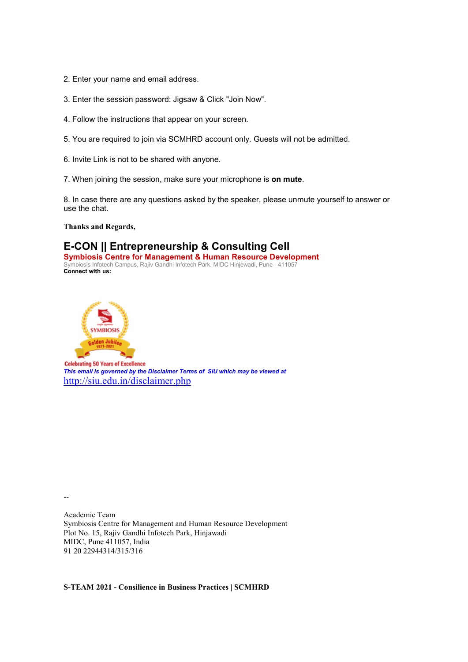- 2. Enter your name and email address.
- 3. Enter the session password: Jigsaw & Click "Join Now".
- 4. Follow the instructions that appear on your screen.
- 5. You are required to join via SCMHRD account only. Guests will not be admitted.
- 6. Invite Link is not to be shared with anyone.
- 7. When joining the session, make sure your microphone is **on mute**.

8. In case there are any questions asked by the speaker, please unmute yourself to answer or use the chat.

**Thanks and Regards,**

## **E-CON || Entrepreneurship & Consulting Cell**

**Symbiosis Centre for Management & Human Resource Development** Symbiosis Infotech Campus, Rajiv Gandhi Infotech Park, MIDC Hinjewadi, Pune - 411057 **Connect with us:**



**Celebrating 50 Years of Excellence** *This email is governed by the Disclaimer Terms of SIU which may be viewed at* <http://siu.edu.in/disclaimer.php>

--

Academic Team Symbiosis Centre for Management and Human Resource Development Plot No. 15, Rajiv Gandhi Infotech Park, Hinjawadi MIDC, Pune 411057, India 91 20 22944314/315/316

**S-TEAM 2021 - Consilience in Business Practices | SCMHRD**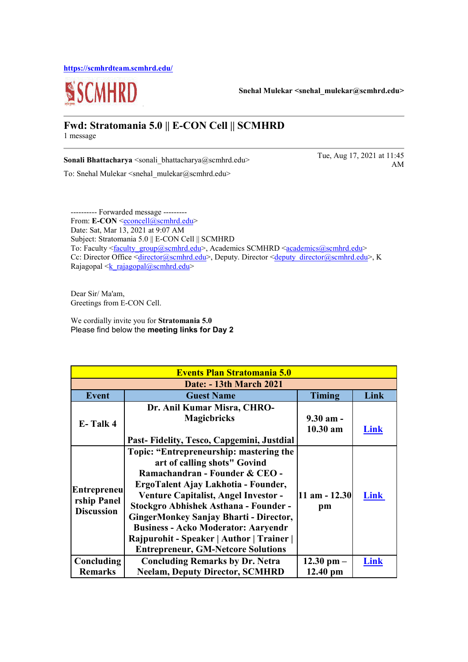**<https://scmhrdteam.scmhrd.edu/>**



**Snehal Mulekar <snehal\_mulekar@scmhrd.edu>**

#### **Fwd: Stratomania 5.0 || E-CON Cell || SCMHRD** 1 message

**Sonali Bhattacharya** <sonali bhattacharya@scmhrd.edu> Tue, Aug 17, 2021 at 11:45

To: Snehal Mulekar <snehal\_mulekar@scmhrd.edu>

AM

---------- Forwarded message --------- From: **E-CON** <<u>econcell@scmhrd.edu</u>> Date: Sat, Mar 13, 2021 at 9:07 AM Subject: Stratomania 5.0 || E-CON Cell || SCMHRD To: Faculty [<faculty\\_group@scmhrd.edu>](mailto:faculty_group@scmhrd.edu), Academics SCMHRD [<academics@scmhrd.edu>](mailto:academics@scmhrd.edu) Cc: Director Office [<director@scmhrd.edu>](mailto:director@scmhrd.edu), Deputy. Director [<deputy\\_director@scmhrd.edu>](mailto:deputy_director@scmhrd.edu), K Rajagopal  $\leq k$  rajagopal@scmhrd.edu>

Dear Sir/ Ma'am, Greetings from E-CON Cell.

We cordially invite you for **Stratomania 5.0** Please find below the **meeting links for Day 2**

| <b>Events Plan Stratomania 5.0</b>                     |                                                                                                                                                                                                                                                                                                                                                                                                                            |                                   |      |
|--------------------------------------------------------|----------------------------------------------------------------------------------------------------------------------------------------------------------------------------------------------------------------------------------------------------------------------------------------------------------------------------------------------------------------------------------------------------------------------------|-----------------------------------|------|
| Date: - 13th March 2021                                |                                                                                                                                                                                                                                                                                                                                                                                                                            |                                   |      |
| <b>Event</b>                                           | <b>Guest Name</b>                                                                                                                                                                                                                                                                                                                                                                                                          | <b>Timing</b>                     | Link |
| E-Talk 4                                               | Dr. Anil Kumar Misra, CHRO-<br><b>Magicbricks</b><br>Past-Fidelity, Tesco, Capgemini, Justdial                                                                                                                                                                                                                                                                                                                             | $9.30 \text{ am}$ -<br>$10.30$ am | Link |
| <b>Entrepreneu</b><br>rship Panel<br><b>Discussion</b> | Topic: "Entrepreneurship: mastering the<br>art of calling shots" Govind<br>Ramachandran - Founder & CEO -<br>ErgoTalent Ajay Lakhotia - Founder,<br>Venture Capitalist, Angel Investor -<br><b>Stockgro Abhishek Asthana - Founder -</b><br>GingerMonkey Sanjay Bharti - Director,<br><b>Business - Acko Moderator: Aaryendr</b><br>Rajpurohit - Speaker   Author   Trainer  <br><b>Entrepreneur, GM-Netcore Solutions</b> | $11$ am $-12.30$<br>pm            | Link |
| Concluding                                             | <b>Concluding Remarks by Dr. Netra</b>                                                                                                                                                                                                                                                                                                                                                                                     | $12.30$ pm $-$                    | Link |
| <b>Remarks</b>                                         | <b>Neelam, Deputy Director, SCMHRD</b>                                                                                                                                                                                                                                                                                                                                                                                     | $12.40 \text{ pm}$                |      |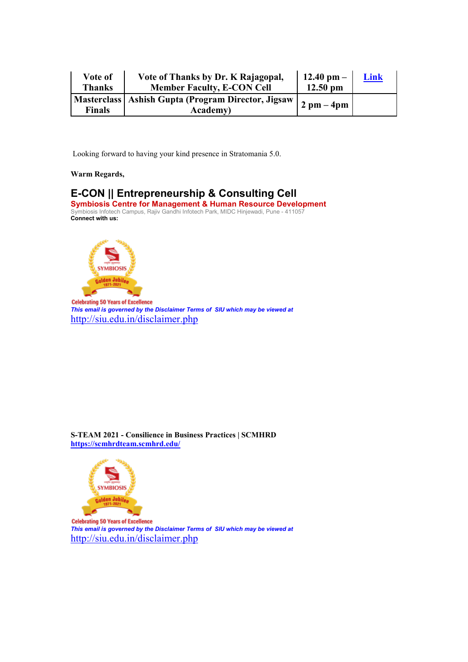| Vote of       | Vote of Thanks by Dr. K Rajagopal,                   | $12.40$ pm $-$               | Link |
|---------------|------------------------------------------------------|------------------------------|------|
| <b>Thanks</b> | <b>Member Faculty, E-CON Cell</b>                    | $12.50$ pm                   |      |
|               | Masterclass   Ashish Gupta (Program Director, Jigsaw | $2 \text{ pm} - 4 \text{pm}$ |      |
| <b>Finals</b> | <b>Academy</b> )                                     |                              |      |

Looking forward to having your kind presence in Stratomania 5.0.

#### **Warm Regards,**

# **E-CON || Entrepreneurship & Consulting Cell**

**Symbiosis Centre for Management & Human Resource Development** Symbiosis Infotech Campus, Rajiv Gandhi Infotech Park, MIDC Hinjewadi, Pune - 411057 **Connect with us:**



**Celebrating 50 Years of Excellence** *This email is governed by the Disclaimer Terms of SIU which may be viewed at* <http://siu.edu.in/disclaimer.php>

**S-TEAM 2021 - Consilience in Business Practices | SCMHRD <https://scmhrdteam.scmhrd.edu/>**



**Celebrating 50 Years of Excellence** *This email is governed by the Disclaimer Terms of SIU which may be viewed at* <http://siu.edu.in/disclaimer.php>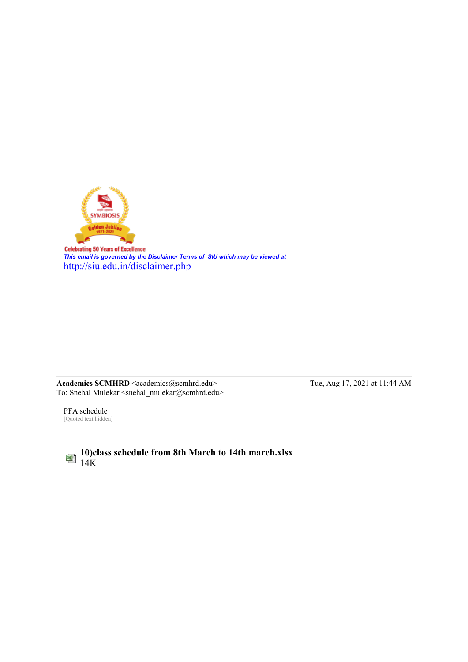

**Celebrating 50 Years of Excellence** *This email is governed by the Disclaimer Terms of SIU which may be viewed at* <http://siu.edu.in/disclaimer.php>

**Academics SCMHRD** <academics@scmhrd.edu> Tue, Aug 17, 2021 at 11:44 AM To: Snehal Mulekar <snehal\_mulekar@scmhrd.edu>

PFA schedule [Quoted text hidden]

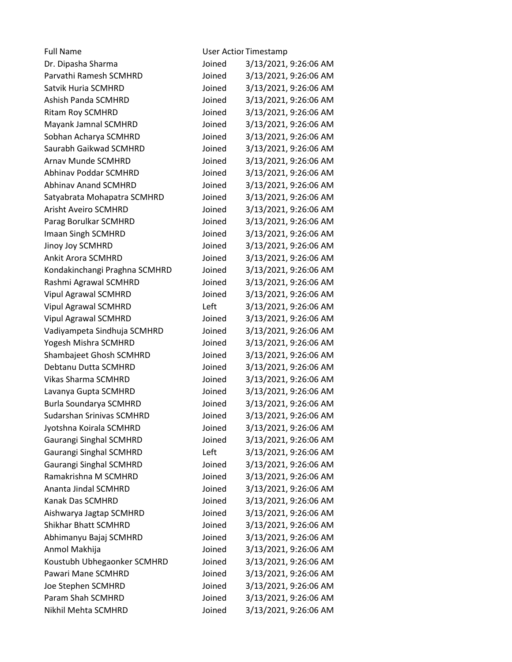| <b>Full Name</b>                 | <b>User Actior Timestamp</b> |                       |
|----------------------------------|------------------------------|-----------------------|
| Dr. Dipasha Sharma               | Joined                       | 3/13/2021, 9:26:06 AM |
| Parvathi Ramesh SCMHRD           | Joined                       | 3/13/2021, 9:26:06 AM |
| Satvik Huria SCMHRD              | Joined                       | 3/13/2021, 9:26:06 AM |
| Ashish Panda SCMHRD              | Joined                       | 3/13/2021, 9:26:06 AM |
| <b>Ritam Roy SCMHRD</b>          | Joined                       | 3/13/2021, 9:26:06 AM |
| Mayank Jamnal SCMHRD             | Joined                       | 3/13/2021, 9:26:06 AM |
| Sobhan Acharya SCMHRD            | Joined                       | 3/13/2021, 9:26:06 AM |
| Saurabh Gaikwad SCMHRD           | Joined                       | 3/13/2021, 9:26:06 AM |
| <b>Arnav Munde SCMHRD</b>        | Joined                       | 3/13/2021, 9:26:06 AM |
| <b>Abhinav Poddar SCMHRD</b>     | Joined                       | 3/13/2021, 9:26:06 AM |
| <b>Abhinav Anand SCMHRD</b>      | Joined                       | 3/13/2021, 9:26:06 AM |
| Satyabrata Mohapatra SCMHRD      | Joined                       | 3/13/2021, 9:26:06 AM |
| <b>Arisht Aveiro SCMHRD</b>      | Joined                       | 3/13/2021, 9:26:06 AM |
| Parag Borulkar SCMHRD            | Joined                       | 3/13/2021, 9:26:06 AM |
| Imaan Singh SCMHRD               | Joined                       | 3/13/2021, 9:26:06 AM |
| Jinoy Joy SCMHRD                 | Joined                       | 3/13/2021, 9:26:06 AM |
| <b>Ankit Arora SCMHRD</b>        | Joined                       | 3/13/2021, 9:26:06 AM |
| Kondakinchangi Praghna SCMHRD    | Joined                       | 3/13/2021, 9:26:06 AM |
| Rashmi Agrawal SCMHRD            | Joined                       | 3/13/2021, 9:26:06 AM |
| <b>Vipul Agrawal SCMHRD</b>      | Joined                       | 3/13/2021, 9:26:06 AM |
| <b>Vipul Agrawal SCMHRD</b>      | Left                         | 3/13/2021, 9:26:06 AM |
| <b>Vipul Agrawal SCMHRD</b>      | Joined                       | 3/13/2021, 9:26:06 AM |
| Vadiyampeta Sindhuja SCMHRD      | Joined                       | 3/13/2021, 9:26:06 AM |
| Yogesh Mishra SCMHRD             | Joined                       | 3/13/2021, 9:26:06 AM |
| Shambajeet Ghosh SCMHRD          | Joined                       | 3/13/2021, 9:26:06 AM |
| Debtanu Dutta SCMHRD             | Joined                       | 3/13/2021, 9:26:06 AM |
| <b>Vikas Sharma SCMHRD</b>       | Joined                       | 3/13/2021, 9:26:06 AM |
| Lavanya Gupta SCMHRD             | Joined                       | 3/13/2021, 9:26:06 AM |
| Burla Soundarya SCMHRD           | Joined                       | 3/13/2021, 9:26:06 AM |
| <b>Sudarshan Srinivas SCMHRD</b> | Joined                       | 3/13/2021, 9:26:06 AM |
| Jyotshna Koirala SCMHRD          | Joined                       | 3/13/2021, 9:26:06 AM |
| Gaurangi Singhal SCMHRD          | Joined                       | 3/13/2021, 9:26:06 AM |
| Gaurangi Singhal SCMHRD          | Left                         | 3/13/2021, 9:26:06 AM |
| Gaurangi Singhal SCMHRD          | Joined                       | 3/13/2021, 9:26:06 AM |
| Ramakrishna M SCMHRD             | Joined                       | 3/13/2021, 9:26:06 AM |
| Ananta Jindal SCMHRD             | Joined                       | 3/13/2021, 9:26:06 AM |
| Kanak Das SCMHRD                 | Joined                       | 3/13/2021, 9:26:06 AM |
| Aishwarya Jagtap SCMHRD          | Joined                       | 3/13/2021, 9:26:06 AM |
| Shikhar Bhatt SCMHRD             | Joined                       | 3/13/2021, 9:26:06 AM |
| Abhimanyu Bajaj SCMHRD           | Joined                       | 3/13/2021, 9:26:06 AM |
| Anmol Makhija                    | Joined                       | 3/13/2021, 9:26:06 AM |
| Koustubh Ubhegaonker SCMHRD      | Joined                       | 3/13/2021, 9:26:06 AM |
| Pawari Mane SCMHRD               | Joined                       | 3/13/2021, 9:26:06 AM |
| Joe Stephen SCMHRD               | Joined                       | 3/13/2021, 9:26:06 AM |
| Param Shah SCMHRD                | Joined                       | 3/13/2021, 9:26:06 AM |
| Nikhil Mehta SCMHRD              | Joined                       | 3/13/2021, 9:26:06 AM |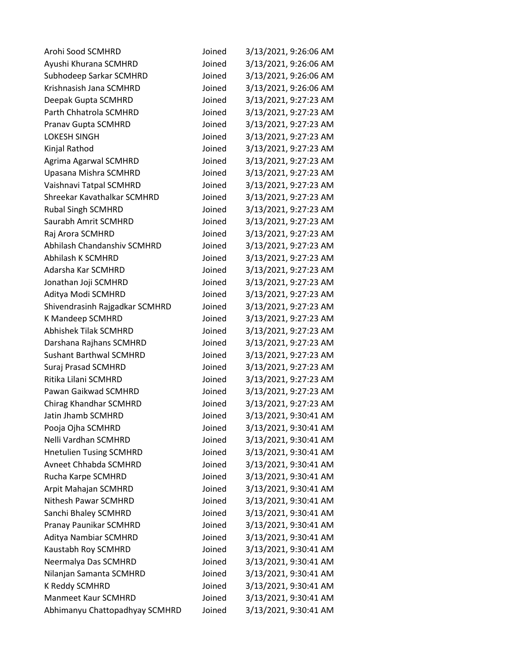| Arohi Sood SCMHRD              | Joined | 3/13/2021, 9:26:06 AM |
|--------------------------------|--------|-----------------------|
| Ayushi Khurana SCMHRD          | Joined | 3/13/2021, 9:26:06 AM |
| Subhodeep Sarkar SCMHRD        | Joined | 3/13/2021, 9:26:06 AM |
| Krishnasish Jana SCMHRD        | Joined | 3/13/2021, 9:26:06 AM |
| Deepak Gupta SCMHRD            | Joined | 3/13/2021, 9:27:23 AM |
| Parth Chhatrola SCMHRD         | Joined | 3/13/2021, 9:27:23 AM |
| Pranav Gupta SCMHRD            | Joined | 3/13/2021, 9:27:23 AM |
| <b>LOKESH SINGH</b>            | Joined | 3/13/2021, 9:27:23 AM |
| Kinjal Rathod                  | Joined | 3/13/2021, 9:27:23 AM |
| Agrima Agarwal SCMHRD          | Joined | 3/13/2021, 9:27:23 AM |
| Upasana Mishra SCMHRD          | Joined | 3/13/2021, 9:27:23 AM |
| Vaishnavi Tatpal SCMHRD        | Joined | 3/13/2021, 9:27:23 AM |
| Shreekar Kavathalkar SCMHRD    | Joined | 3/13/2021, 9:27:23 AM |
| <b>Rubal Singh SCMHRD</b>      | Joined | 3/13/2021, 9:27:23 AM |
| Saurabh Amrit SCMHRD           | Joined | 3/13/2021, 9:27:23 AM |
| Raj Arora SCMHRD               | Joined | 3/13/2021, 9:27:23 AM |
| Abhilash Chandanshiv SCMHRD    | Joined | 3/13/2021, 9:27:23 AM |
| <b>Abhilash K SCMHRD</b>       | Joined | 3/13/2021, 9:27:23 AM |
| Adarsha Kar SCMHRD             | Joined | 3/13/2021, 9:27:23 AM |
| Jonathan Joji SCMHRD           | Joined | 3/13/2021, 9:27:23 AM |
| Aditya Modi SCMHRD             | Joined | 3/13/2021, 9:27:23 AM |
| Shivendrasinh Rajgadkar SCMHRD | Joined | 3/13/2021, 9:27:23 AM |
| K Mandeep SCMHRD               | Joined | 3/13/2021, 9:27:23 AM |
| <b>Abhishek Tilak SCMHRD</b>   | Joined | 3/13/2021, 9:27:23 AM |
| Darshana Rajhans SCMHRD        | Joined | 3/13/2021, 9:27:23 AM |
| <b>Sushant Barthwal SCMHRD</b> | Joined | 3/13/2021, 9:27:23 AM |
| Suraj Prasad SCMHRD            | Joined | 3/13/2021, 9:27:23 AM |
| Ritika Lilani SCMHRD           | Joined | 3/13/2021, 9:27:23 AM |
| Pawan Gaikwad SCMHRD           | Joined | 3/13/2021, 9:27:23 AM |
| Chirag Khandhar SCMHRD         | Joined | 3/13/2021, 9:27:23 AM |
| Jatin Jhamb SCMHRD             | Joined | 3/13/2021, 9:30:41 AM |
| Pooja Ojha SCMHRD              | Joined | 3/13/2021, 9:30:41 AM |
| Nelli Vardhan SCMHRD           | Joined | 3/13/2021, 9:30:41 AM |
| <b>Hnetulien Tusing SCMHRD</b> | Joined | 3/13/2021, 9:30:41 AM |
| Avneet Chhabda SCMHRD          | Joined | 3/13/2021, 9:30:41 AM |
| Rucha Karpe SCMHRD             | Joined | 3/13/2021, 9:30:41 AM |
| Arpit Mahajan SCMHRD           | Joined | 3/13/2021, 9:30:41 AM |
| Nithesh Pawar SCMHRD           | Joined | 3/13/2021, 9:30:41 AM |
| Sanchi Bhaley SCMHRD           | Joined | 3/13/2021, 9:30:41 AM |
| Pranay Paunikar SCMHRD         | Joined | 3/13/2021, 9:30:41 AM |
| Aditya Nambiar SCMHRD          | Joined | 3/13/2021, 9:30:41 AM |
| Kaustabh Roy SCMHRD            | Joined | 3/13/2021, 9:30:41 AM |
| Neermalya Das SCMHRD           | Joined | 3/13/2021, 9:30:41 AM |
| Nilanjan Samanta SCMHRD        | Joined | 3/13/2021, 9:30:41 AM |
| K Reddy SCMHRD                 | Joined | 3/13/2021, 9:30:41 AM |
| <b>Manmeet Kaur SCMHRD</b>     | Joined | 3/13/2021, 9:30:41 AM |
| Abhimanyu Chattopadhyay SCMHRD | Joined | 3/13/2021, 9:30:41 AM |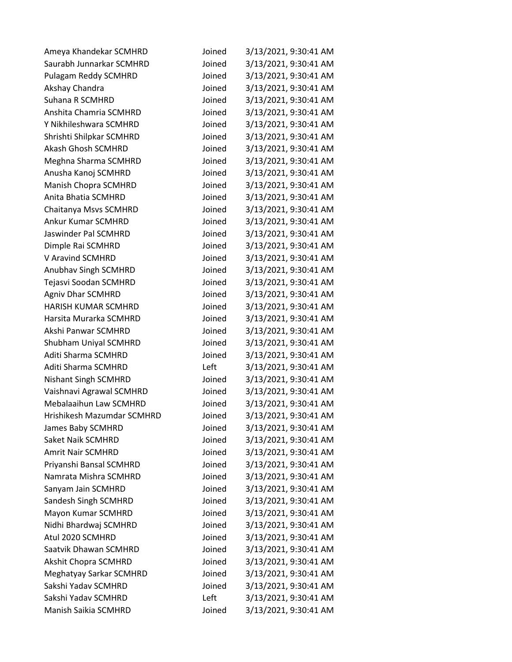| Ameya Khandekar SCMHRD      | Joined | 3/13/2021, 9:30:41 AM |
|-----------------------------|--------|-----------------------|
| Saurabh Junnarkar SCMHRD    | Joined | 3/13/2021, 9:30:41 AM |
| Pulagam Reddy SCMHRD        | Joined | 3/13/2021, 9:30:41 AM |
| Akshay Chandra              | Joined | 3/13/2021, 9:30:41 AM |
| Suhana R SCMHRD             | Joined | 3/13/2021, 9:30:41 AM |
| Anshita Chamria SCMHRD      | Joined | 3/13/2021, 9:30:41 AM |
| Y Nikhileshwara SCMHRD      | Joined | 3/13/2021, 9:30:41 AM |
| Shrishti Shilpkar SCMHRD    | Joined | 3/13/2021, 9:30:41 AM |
| <b>Akash Ghosh SCMHRD</b>   | Joined | 3/13/2021, 9:30:41 AM |
| Meghna Sharma SCMHRD        | Joined | 3/13/2021, 9:30:41 AM |
| Anusha Kanoj SCMHRD         | Joined | 3/13/2021, 9:30:41 AM |
| Manish Chopra SCMHRD        | Joined | 3/13/2021, 9:30:41 AM |
| Anita Bhatia SCMHRD         | Joined | 3/13/2021, 9:30:41 AM |
| Chaitanya Msvs SCMHRD       | Joined | 3/13/2021, 9:30:41 AM |
| <b>Ankur Kumar SCMHRD</b>   | Joined | 3/13/2021, 9:30:41 AM |
| <b>Jaswinder Pal SCMHRD</b> | Joined | 3/13/2021, 9:30:41 AM |
| Dimple Rai SCMHRD           | Joined | 3/13/2021, 9:30:41 AM |
| V Aravind SCMHRD            | Joined | 3/13/2021, 9:30:41 AM |
| <b>Anubhav Singh SCMHRD</b> | Joined | 3/13/2021, 9:30:41 AM |
| Tejasvi Soodan SCMHRD       | Joined | 3/13/2021, 9:30:41 AM |
| Agniv Dhar SCMHRD           | Joined | 3/13/2021, 9:30:41 AM |
| HARISH KUMAR SCMHRD         | Joined | 3/13/2021, 9:30:41 AM |
| Harsita Murarka SCMHRD      | Joined | 3/13/2021, 9:30:41 AM |
| Akshi Panwar SCMHRD         | Joined | 3/13/2021, 9:30:41 AM |
| Shubham Uniyal SCMHRD       | Joined | 3/13/2021, 9:30:41 AM |
| Aditi Sharma SCMHRD         | Joined | 3/13/2021, 9:30:41 AM |
| Aditi Sharma SCMHRD         | Left   | 3/13/2021, 9:30:41 AM |
| <b>Nishant Singh SCMHRD</b> | Joined | 3/13/2021, 9:30:41 AM |
| Vaishnavi Agrawal SCMHRD    | Joined | 3/13/2021, 9:30:41 AM |
| Mebalaaihun Law SCMHRD      | Joined | 3/13/2021, 9:30:41 AM |
| Hrishikesh Mazumdar SCMHRD  | Joined | 3/13/2021, 9:30:41 AM |
| James Baby SCMHRD           | Joined | 3/13/2021, 9:30:41 AM |
| <b>Saket Naik SCMHRD</b>    | Joined | 3/13/2021, 9:30:41 AM |
| <b>Amrit Nair SCMHRD</b>    | Joined | 3/13/2021, 9:30:41 AM |
| Priyanshi Bansal SCMHRD     | Joined | 3/13/2021, 9:30:41 AM |
| Namrata Mishra SCMHRD       | Joined | 3/13/2021, 9:30:41 AM |
| Sanyam Jain SCMHRD          | Joined | 3/13/2021, 9:30:41 AM |
| Sandesh Singh SCMHRD        | Joined | 3/13/2021, 9:30:41 AM |
| Mayon Kumar SCMHRD          | Joined | 3/13/2021, 9:30:41 AM |
| Nidhi Bhardwaj SCMHRD       | Joined | 3/13/2021, 9:30:41 AM |
| Atul 2020 SCMHRD            | Joined | 3/13/2021, 9:30:41 AM |
| Saatvik Dhawan SCMHRD       | Joined | 3/13/2021, 9:30:41 AM |
| <b>Akshit Chopra SCMHRD</b> | Joined | 3/13/2021, 9:30:41 AM |
| Meghatyay Sarkar SCMHRD     | Joined | 3/13/2021, 9:30:41 AM |
| Sakshi Yadav SCMHRD         | Joined | 3/13/2021, 9:30:41 AM |
| Sakshi Yadav SCMHRD         | Left   | 3/13/2021, 9:30:41 AM |
| Manish Saikia SCMHRD        | Joined | 3/13/2021, 9:30:41 AM |
|                             |        |                       |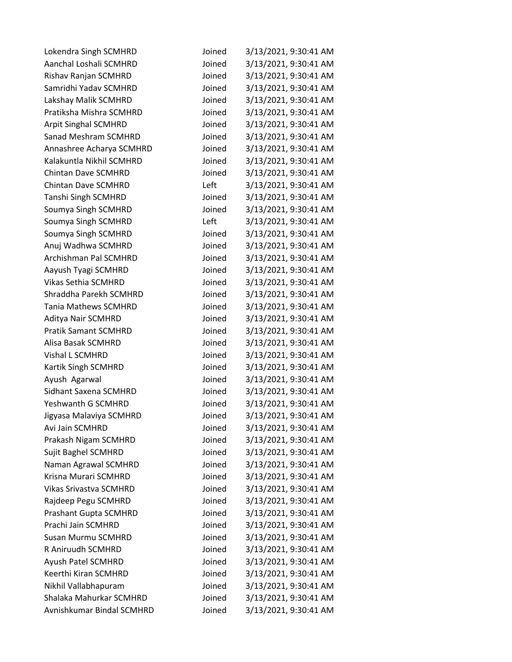| Lokendra Singh SCMHRD         | Joined | 3/13/2021, 9:30:41 AM |
|-------------------------------|--------|-----------------------|
| Aanchal Loshali SCMHRD        | Joined | 3/13/2021, 9:30:41 AM |
| Rishav Ranjan SCMHRD          | Joined | 3/13/2021, 9:30:41 AM |
| Samridhi Yadav SCMHRD         | Joined | 3/13/2021, 9:30:41 AM |
| Lakshay Malik SCMHRD          | Joined | 3/13/2021, 9:30:41 AM |
| Pratiksha Mishra SCMHRD       | Joined | 3/13/2021, 9:30:41 AM |
| <b>Arpit Singhal SCMHRD</b>   | Joined | 3/13/2021, 9:30:41 AM |
| <b>Sanad Meshram SCMHRD</b>   | Joined | 3/13/2021, 9:30:41 AM |
| Annashree Acharya SCMHRD      | Joined | 3/13/2021, 9:30:41 AM |
| Kalakuntla Nikhil SCMHRD      | Joined | 3/13/2021, 9:30:41 AM |
| <b>Chintan Dave SCMHRD</b>    | Joined | 3/13/2021, 9:30:41 AM |
| <b>Chintan Dave SCMHRD</b>    | Left   | 3/13/2021, 9:30:41 AM |
| <b>Tanshi Singh SCMHRD</b>    | Joined | 3/13/2021, 9:30:41 AM |
| Soumya Singh SCMHRD           | Joined | 3/13/2021, 9:30:41 AM |
| Soumya Singh SCMHRD           | Left   | 3/13/2021, 9:30:41 AM |
| Soumya Singh SCMHRD           | Joined | 3/13/2021, 9:30:41 AM |
| Anuj Wadhwa SCMHRD            | Joined | 3/13/2021, 9:30:41 AM |
| Archishman Pal SCMHRD         | Joined | 3/13/2021, 9:30:41 AM |
| Aayush Tyagi SCMHRD           | Joined | 3/13/2021, 9:30:41 AM |
| <b>Vikas Sethia SCMHRD</b>    | Joined | 3/13/2021, 9:30:41 AM |
| Shraddha Parekh SCMHRD        | Joined | 3/13/2021, 9:30:41 AM |
| <b>Tania Mathews SCMHRD</b>   | Joined | 3/13/2021, 9:30:41 AM |
| Aditya Nair SCMHRD            | Joined | 3/13/2021, 9:30:41 AM |
| <b>Pratik Samant SCMHRD</b>   | Joined | 3/13/2021, 9:30:41 AM |
| Alisa Basak SCMHRD            | Joined | 3/13/2021, 9:30:41 AM |
| Vishal L SCMHRD               | Joined | 3/13/2021, 9:30:41 AM |
| Kartik Singh SCMHRD           | Joined | 3/13/2021, 9:30:41 AM |
| Ayush Agarwal                 | Joined | 3/13/2021, 9:30:41 AM |
| Sidhant Saxena SCMHRD         | Joined | 3/13/2021, 9:30:41 AM |
| Yeshwanth G SCMHRD            | Joined | 3/13/2021, 9:30:41 AM |
| Jigyasa Malaviya SCMHRD       | Joined | 3/13/2021, 9:30:41 AM |
| Avi Jain SCMHRD               | Joined | 3/13/2021, 9:30:41 AM |
| Prakash Nigam SCMHRD          | Joined | 3/13/2021, 9:30:41 AM |
| Sujit Baghel SCMHRD           | Joined | 3/13/2021, 9:30:41 AM |
| Naman Agrawal SCMHRD          | Joined | 3/13/2021, 9:30:41 AM |
| Krisna Murari SCMHRD          | Joined | 3/13/2021, 9:30:41 AM |
| <b>Vikas Srivastva SCMHRD</b> | Joined | 3/13/2021, 9:30:41 AM |
| Rajdeep Pegu SCMHRD           | Joined | 3/13/2021, 9:30:41 AM |
| Prashant Gupta SCMHRD         | Joined | 3/13/2021, 9:30:41 AM |
| Prachi Jain SCMHRD            | Joined | 3/13/2021, 9:30:41 AM |
| <b>Susan Murmu SCMHRD</b>     | Joined | 3/13/2021, 9:30:41 AM |
| R Aniruudh SCMHRD             | Joined | 3/13/2021, 9:30:41 AM |
| Ayush Patel SCMHRD            | Joined | 3/13/2021, 9:30:41 AM |
| Keerthi Kiran SCMHRD          | Joined | 3/13/2021, 9:30:41 AM |
| Nikhil Vallabhapuram          | Joined | 3/13/2021, 9:30:41 AM |
| Shalaka Mahurkar SCMHRD       | Joined | 3/13/2021, 9:30:41 AM |
| Avnishkumar Bindal SCMHRD     | Joined | 3/13/2021, 9:30:41 AM |